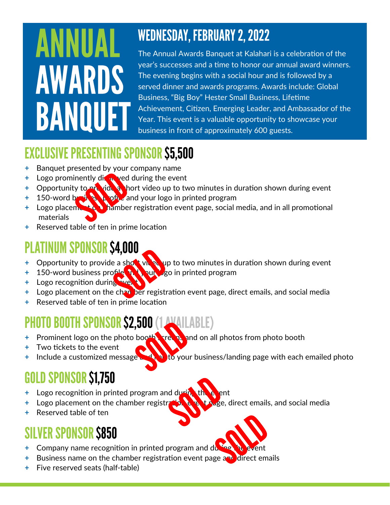### ANNUAL **AWARDS** BANQUET

#### **WEDNESDAY, FEBRUARY 2, 2022**

The Annual Awards Banquet at Kalahari is a celebration of the year's successes and a time to honor our annual award winners. The evening begins with a social hour and is followed by a served dinner and awards programs. Awards include: Global Business, "Big Boy" Hester Small Business, Lifetime Achievement, Citizen, Emerging Leader, and Ambassador of the Year. This event is a valuable opportunity to showcase your business in front of approximately 600 guests.

#### **EXCLUSIVE PRESENTING SPONSOR \$5,500**

- **+** Banquet presented by your company name
- **+** Logo prominently distant ved during the event
- **+** Opportunity to provide a short video up to two minutes in duration shown during event
- **+ 150-word business profile and your logo in printed program**
- **+** Logo placement on hamber registration event page, social media, and in all promotional materials
- **+** Reserved table of ten in prime location

#### **PLATINUM SPONSOR \$4,000**

- **+** Opportunity to provide a shot vides up to two minutes in duration shown during event
- **+ 150-word business profle by logo in printed program**
- **+** Logo recognition during type to
- <sup>+</sup> Logo placement on the chapt ber registration event page, direct emails, and social media
- **+** Reserved table of ten in prime location

#### **PHOTO BOOTH SPONSOR \$2,500 (1 AVAILABLE)**

- **+** Prominent logo on the photo booth streens and on all photos from photo booth
- **+** Two tickets to the event
- **+** Include a customized message and to your business/landing page with each emailed photo

### **GOLD SPONSOR \$1,750**

- **+ Logo recognition in printed program and during the exect**
- **+** Logo placement on the chamber registration by the detailed pairect emails, and social media
- **+** Reserved table of ten

#### **SILVER SPONSOR S850**

- **+ Company name recognition in printed program and du-**
- **+** Business name on the chamber registration event page and direct emails
- **+** Five reserved seats (half-table)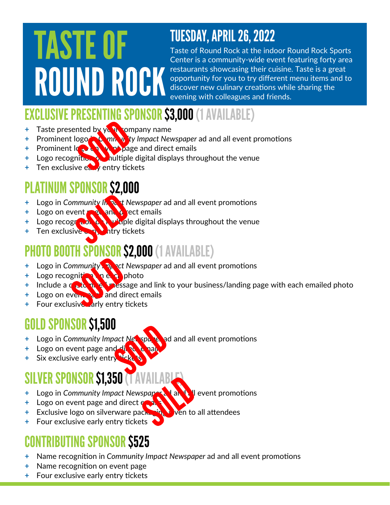# **TASTE OF ROUND ROCK**

#### **TUESDAY, APRIL 26, 2022**

Taste of Round Rock at the indoor Round Rock Sports Center is a community-wide event featuring forty area restaurants showcasing their cuisine. Taste is a great opportunity for you to try different menu items and to discover new culinary creations while sharing the evening with colleagues and friends.

#### **CLUSIVE PRESENTING SPONSOR \$3,000 (1 AVAILABLE)**

- **+** Taste presented by your company name
- **+** Prominent logo **in Community Impact Newspaper** ad and all event promotions
- **+** Prominent  $\log_2$  on  $\log_2$  page and direct emails
- **+** Logo recognition on multiple digital displays throughout the venue
- **+** Ten exclusive early entry tickets

#### **ATINUM SPONSOR \$2,000**

- **+** Logo in *Community In*  $\partial_{\alpha}$  *t Newspaper* ad and all event promotions
- **+** Logo on event **page and direct emails**
- **+ Logo recognition on multiple digital displays throughout the venue**
- **+ Ten exclusive early htry tickets**

#### **PHOTO BOOTH SPONSOR \$2,000 (1 AVAILABLE)**

- **+** Logo in *Community Impact Newspaper* ad and all event promotions
- **+** Logo recognition **net** a photo
- **+ Include a customized message and link to your business/landing page with each emailed photo**
- **+**  Logo on event page and direct emails
- **+** Four exclusive arly entry tickets

#### **GOLD SPONSOR \$1,500**

- **+** Logo in *Community Impact Newspaper and all event promotions*
- **+ Logo on event page and divert**
- **+ Six exclusive early entry ticket**

#### **SILVER SPONSOR \$1,350**

- **+ Logo in** *Community Impact Newspaper* **and all the vent promotions**
- **+** Logo on event page and direct ex-
- **+** Exclusive logo on silverware packaging ven to all attendees
- **+** Four exclusive early entry tickets

#### **CONTRIBUTING SPONSOR \$525**

- **+** Name recognition in *Community Impact Newspaper* ad and all event promotions
- **+** Name recognition on event page
- **+** Four exclusive early entry tickets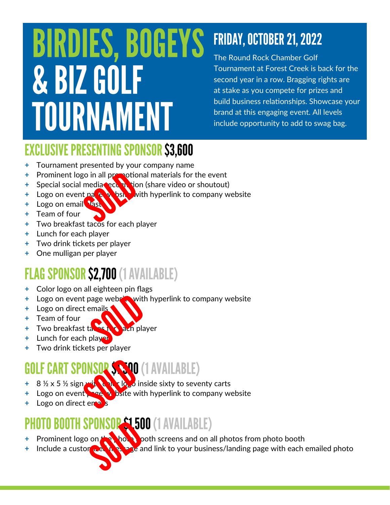### **BIRDIES, BOGEYS** & BIZ GOLF TOURNAMENT

### **FRIDAY, OCTOBER 21, 2022**

The Round Rock Chamber Golf Tournament at Forest Creek is back for the second year in a row. Bragging rights are at stake as you compete for prizes and build business relationships. Showcase your brand at this engaging event. All levels include opportunity to add to swag bag.

#### **EXCLUSIVE PRESENTING SPONSOR \$3,600**

- **+** Tournament presented by your company name
- **+** Prominent logo in all promotional materials for the event
- **+** Special social media recognition (share video or shoutout)
- **+** Logo on event nate when with hyperlink to company website
- **+ Logo on email last**
- **+** Team of four
- **+** Two breakfast tacos for each player
- **+** Lunch for each player
- **+** Two drink tickets per player
- **+** One mulligan per player

#### **FLAG SPONSOR \$2,700 (1 AVAILABLE)**

- **+** Color logo on all eighteen pin flags
- **+** Logo on event page website with hyperlink to company website
- **+** Logo on direct emails
- **+** Team of four
- **+** Two breakfast take the ach player
- **+** Lunch for each player
- **+** Two drink tickets per player

#### **GOLF CART SPONSOR SANO (1 AVAILABLE)**

- **+** 8 ½ x 5 ½ sign with color logo inside sixty to seventy carts
- **+** Logo on event **page with hyperlink to company website**
- **Logo on direct emails**

### OTO BOOTH SPONSOR \$1,500 (1 AVAILABLE)

- Prominent logo on the photo booth screens and on all photos from photo booth
- **+** Include a custom **Reading and link to your business/landing page with each emailed photo**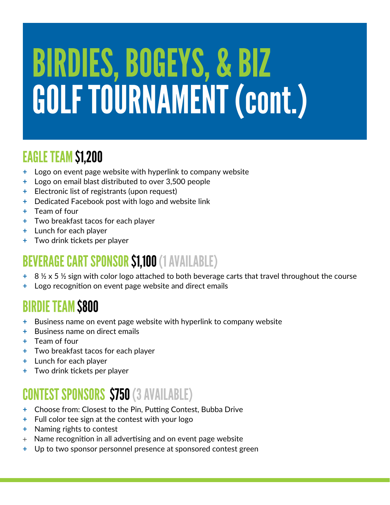# **BIRDIES, BOGEYS, & BIZ** GOLF TOURNAMENT (cont.)

#### **EAGLE TEAM \$1,200**

- **+** Logo on event page website with hyperlink to company website
- **+** Logo on email blast distributed to over 3,500 people
- **+** Electronic list of registrants (upon request)
- **+** Dedicated Facebook post with logo and website link
- **+** Team of four
- **+** Two breakfast tacos for each player
- **+** Lunch for each player
- **+** Two drink tickets per player

#### **BEVERAGE CART SPONSOR \$1,100 (1 AVAILABLE)**

- **+** 8 ½ x 5 ½ sign with color logo attached to both beverage carts that travel throughout the course
- **+** Logo recognition on event page website and direct emails

#### **BIRDIE TEAM \$800**

- **+** Business name on event page website with hyperlink to company website
- **+** Business name on direct emails
- **+** Team of four
- **+** Two breakfast tacos for each player
- **+** Lunch for each player
- **+** Two drink tickets per player

#### **CONTEST SPONSORS \$750 (3 AVAILABLE)**

- **+** Choose from: Closest to the Pin, Putting Contest, Bubba Drive
- **+** Full color tee sign at the contest with your logo
- **+** Naming rights to contest
- $+$  Name recognition in all advertising and on event page website
- **+** Up to two sponsor personnel presence at sponsored contest green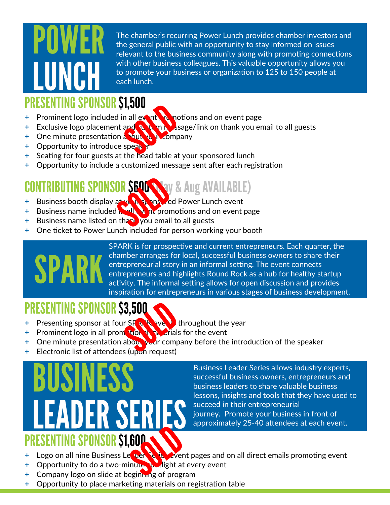The chamber's recurring Power Lunch provides chamber investors and the general public with an opportunity to stay informed on issues relevant to the business community along with promoting connections with other business colleagues. This valuable opportunity allows you to promote your business or organization to 125 to 150 people at each lunch.

#### **ESENTING SPONSOR \$1,500**

- **+** Prominent logo included in all event remotions and on event page
- **+** Exclusive logo placement and **than mass a**sage/link on thank you email to all guests
- **+ One minute presentation about your company**
- **+ Opportunity to introduce speak**
- **+** Seating for four guests at the head table at your sponsored lunch
- **+** Opportunity to include a customized message sent after each registration

#### **CONTRIBUTING SPONSOR S600 WAY & Aug AVAILABLE)**

- **+** Business booth display at your sponsored Power Lunch event
- **+** Business name included in all event promotions and on event page
- **+** Business name listed on than you email to all guests
- **+** One ticket to Power Lunch included for person working your booth



SPARK is for prospective and current entrepreneurs. Each quarter, the chamber arranges for local, successful business owners to share their entrepreneurial story in an informal setting. The event connects entrepreneurs and highlights Round Rock as a hub for healthy startup activity. The informal setting allows for open discussion and provides inspiration for entrepreneurs in various stages of business development.

#### **PRESENTING SPONSOR \$3,500**

- **+** Presenting sponsor at four SPARK avents throughout the year
- **+** Prominent logo in all promotion in the event
- **+** One minute presentation about your company before the introduction of the speaker
- **+** Electronic list of attendees (upon request)

# **IFR SF PRESENTING SPONSOR S1.600**

Business Leader Series allows industry experts, successful business owners, entrepreneurs and business leaders to share valuable business lessons, insights and tools that they have used to succeed in their entrepreneurial journey. Promote your business in front of approximately 25-40 attendees at each event.

- **+** Logo on all nine Business Leader Series event pages and on all direct emails promoting event
- **+** Opportunity to do a two-minute **potalight at every event**
- **+** Company logo on slide at beginning of program
- **+** Opportunity to place marketing materials on registration table